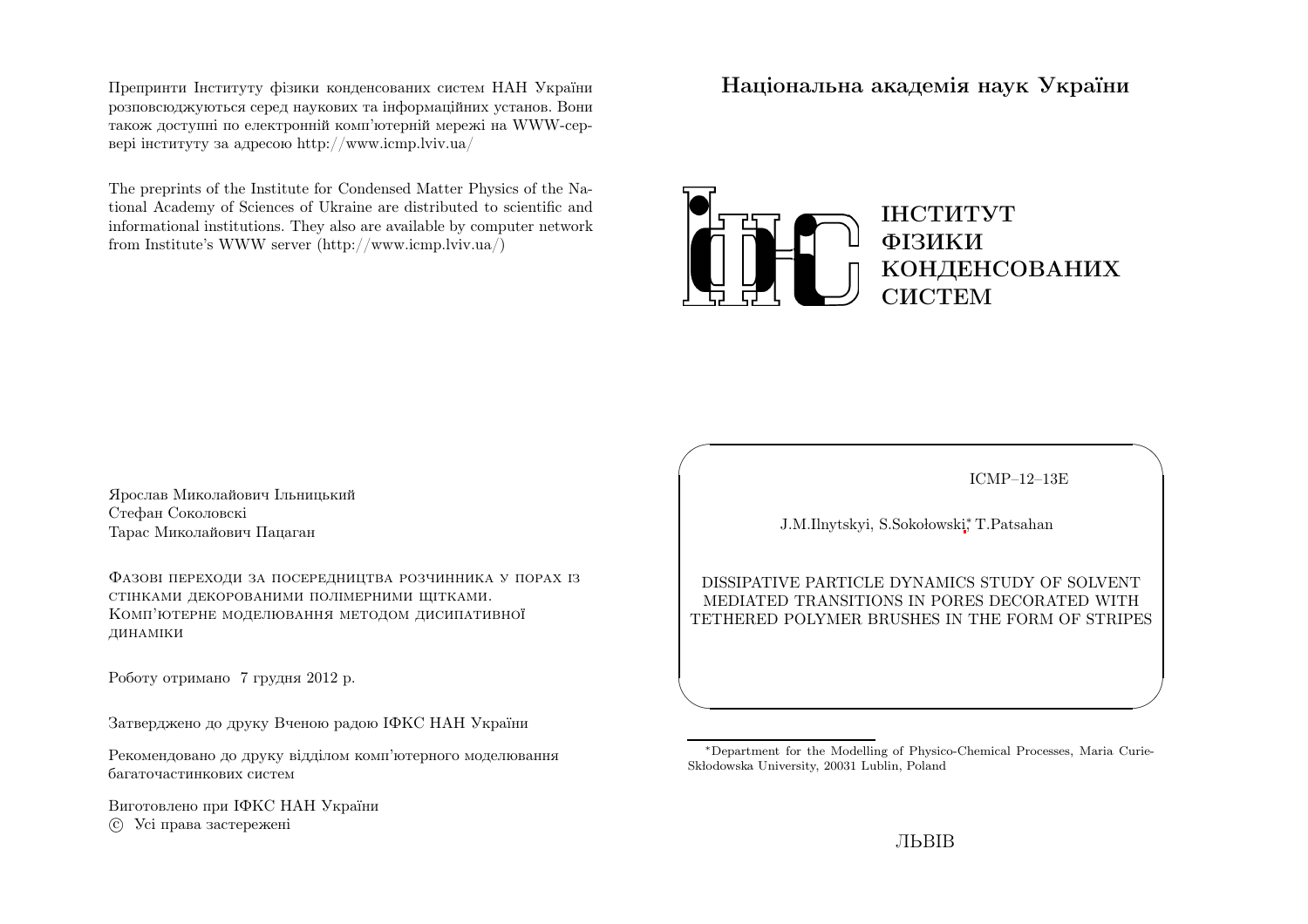Препринти Iнституту фiзики конденсованих систем НАН України розповсюджуються серед наукових та iнформацiйних установ. Вони також доступн<sup>i</sup> по електроннiй комп'ютернiй мереж<sup>i</sup> на WWW-сервер<sup>i</sup> iнституту за адресою http://www.icmp.lviv.ua/

The preprints of the Institute for Condensed Matter Physics of the National Academy of Sciences of Ukraine are distributed to scientific and informational institutions. They also are available by computer networkfrom Institute's WWW server (http://www.icmp.lviv.ua/)

Нацiональна академiя наук України



Ярослав Миколайович IльницькийСтефан Соколовскi Тарас Миколайович Пацаган

Фазовi переходи за посередництва розчинника <sup>у</sup> порах iзстiнками декорованими полiмерними щiтками. Комп'ютерне моделювання методом дисипативної динамiки

Роботу отримано <sup>7</sup> грудня <sup>2012</sup> р.

Затверджено до друку Вченою радою IФКС НАН України

Рекомендовано до друку вiддiлом комп'ютерного моделюваннябагаточастинкових систем

Виготовлено при IФКС НАН Україниc Усi права застережен<sup>i</sup>

ICMP–12–13E

✩

 $\overline{\mathcal{S}}$ 

J.M.Ilnytskyi, S.Sokołowski\*, T.Patsahan

 $\sqrt{2}$ 

 $\setminus$ 

DISSIPATIVE PARTICLE DYNAMICS STUDY OF SOLVENT MEDIATED TRANSITIONS IN PORES DECORATED WITHTETHERED POLYMER BRUSHES IN THE FORM OF STRIPES

<sup>∗</sup>Department for the Modelling of Physico-Chemical Processes, Maria Curie-Skłodowska University, 20031 Lublin, Poland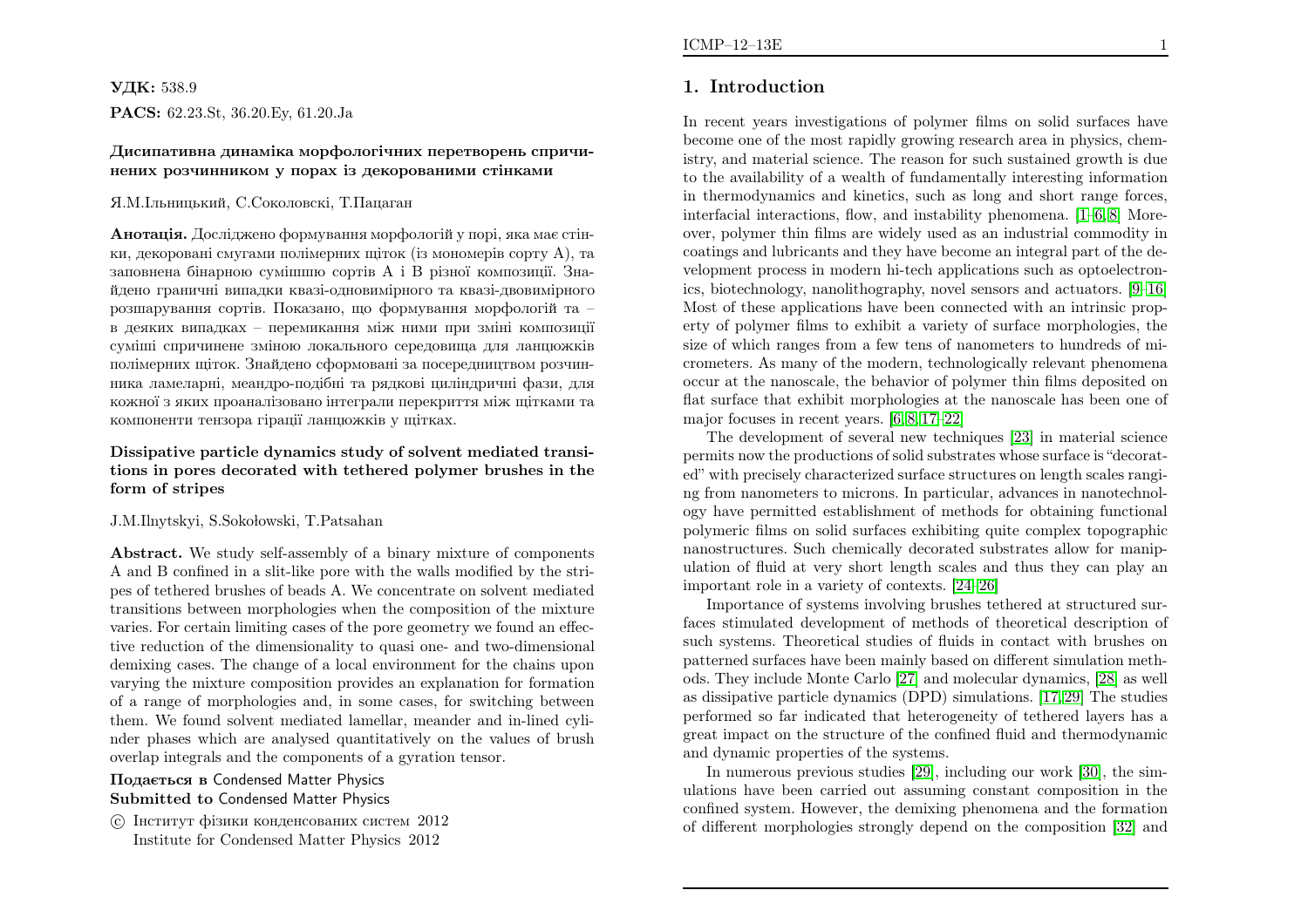# УДК: 538.9

 $\mathbf{PACS:} \ 62.23. \mathrm{St}, \ 36.20. \mathrm{Ey}, \ 61.20. \mathrm{Ja}$ 

### Дисипативна динамiка морфологiчних перетворень спричинених розчинником <sup>у</sup> порах iз декорованими стiнками

#### Я.М.Iльницький, С.Соколовскi, Т.Пацаган

**Анотація.** Досліджено формування морфологій у порі, яка має стінки, декорован<sup>i</sup> смугами полiмерних щiток (iз мономерiв сорту А), та заповнена бiнарною сумiшшю сортiв <sup>А</sup> <sup>i</sup> <sup>В</sup> <sup>р</sup>iзної композицiї. Знайдено граничн<sup>i</sup> випадки квазi-одновимiрного та квазi-двовимiрного розшарування сортiв. Показано, що формування морфологiй та – <sup>в</sup> деяких випадках – перемикання мiж ними при змiнi композицiї сумiшi спричинене змiною локального середовища для ланцюжкiв полiмерних щiток. Знайдено сформованi за посередництвом розчинника ламеларнi, меандро-подiбнi та рядков<sup>i</sup> цилiндричнi фази, для кожної <sup>з</sup> яких проаналiзовано iнтеграли перекриття мiж щiтками такомпоненти тензора гiрацiї ланцюжкiв <sup>у</sup> щiтках.

### Dissipative particle dynamics study of solvent mediated transitions in pores decorated with tethered polymer brushes in theform of stripes

#### J.M.Ilnytskyi, S.Sokołowski, T.Patsahan

Abstract. We study self-assembly of <sup>a</sup> binary mixture of components A and <sup>B</sup> confined in <sup>a</sup> slit-like pore with the walls modified by the stripes of tethered brushes of beads A. We concentrate on solvent mediated transitions between morphologies when the composition of the mixture varies. For certain limiting cases of the pore geometry we found an effective reduction of the dimensionality to quas<sup>i</sup> one- and two-dimensional demixing cases. The change of <sup>a</sup> local environment for the chains upon varying the mixture composition provides an explanation for formation of <sup>a</sup> range of morphologies and, in some cases, for switching between them. We found solvent mediated lamellar, meander and in-lined cylinder <sup>p</sup>hases which are analysed quantitatively on the values of brushoverlap integrals and the components of <sup>a</sup> gyration tensor.

## Подається <sup>в</sup> Condensed Matter Physics Submitted to Condensed Matter Physics

 c Iнститут фiзики конденсованих систем <sup>2012</sup>Institute for Condensed Matter Physics <sup>2012</sup>

# 1. Introduction

In recent years investigations of polymer films on solid surfaces have become one of the most rapidly growing research area in <sup>p</sup>hysics, chemistry, and material science. The reason for such sustained growth is due to the availability of <sup>a</sup> wealth of fundamentally interesting information in thermodynamics and kinetics, such as long and short range forces, interfacial interactions, flow, and instability <sup>p</sup>henomena. [\[1–](#page-10-0)[6,](#page-10-1) [8\]](#page-10-2) Moreover, polymer thin films are widely used as an industrial commodity in coatings and lubricants and they have become an integral part of the development process in modern hi-tech applications such as optoelectronics, biotechnology, nanolithography, novel sensors and actuators. [\[9–](#page-10-3)[16\]](#page-10-4) Most of these applications have been connected with an intrinsic property of polymer films to exhibit <sup>a</sup> variety of surface morphologies, the size of which ranges from <sup>a</sup> few tens of nanometers to hundreds of micrometers. As many of the modern, technologically relevant <sup>p</sup>henomena occur at the nanoscale, the behavior of polymer thin films deposited on flat surface that exhibit morphologies at the nanoscale has been one of major focuses in recent years. [\[6,](#page-10-1) [8,](#page-10-2) [17](#page-10-5)[–22\]](#page-10-6)

The development of several new techniques [\[23\]](#page-10-7) in material science permits now the productions of solid substrates whose surface is "decorated" with precisely characterized surface structures on length scales ranging from nanometers to microns. In particular, advances in nanotechnology have permitted establishment of methods for obtaining functional polymeric films on solid surfaces exhibiting quite complex topographic nanostructures. Such chemically decorated substrates allow for manipulation of fluid at very short length scales and thus they can <sup>p</sup>lay animportant role in <sup>a</sup> variety of contexts. [\[24](#page-10-8)[–26\]](#page-10-9)

Importance of systems involving brushes tethered at structured surfaces stimulated development of methods of theoretical description of such systems. Theoretical studies of fluids in contact with brushes on patterned surfaces have been mainly based on different simulation methods. They include Monte Carlo [\[27\]](#page-11-0) and molecular dynamics, [\[28\]](#page-11-1) as well as dissipative particle dynamics (DPD) simulations. [\[17](#page-10-5), [29\]](#page-11-2) The studies performed so far indicated that heterogeneity of tethered layers has <sup>a</sup> great impact on the structure of the confined fluid and thermodynamicand dynamic properties of the systems.

In numerous previous studies [\[29\]](#page-11-2), including our work [\[30\]](#page-11-3), the simulations have been carried out assuming constant composition in the confined system. However, the demixing <sup>p</sup>henomena and the formationof different morphologies strongly depend on the composition [\[32\]](#page-11-4) and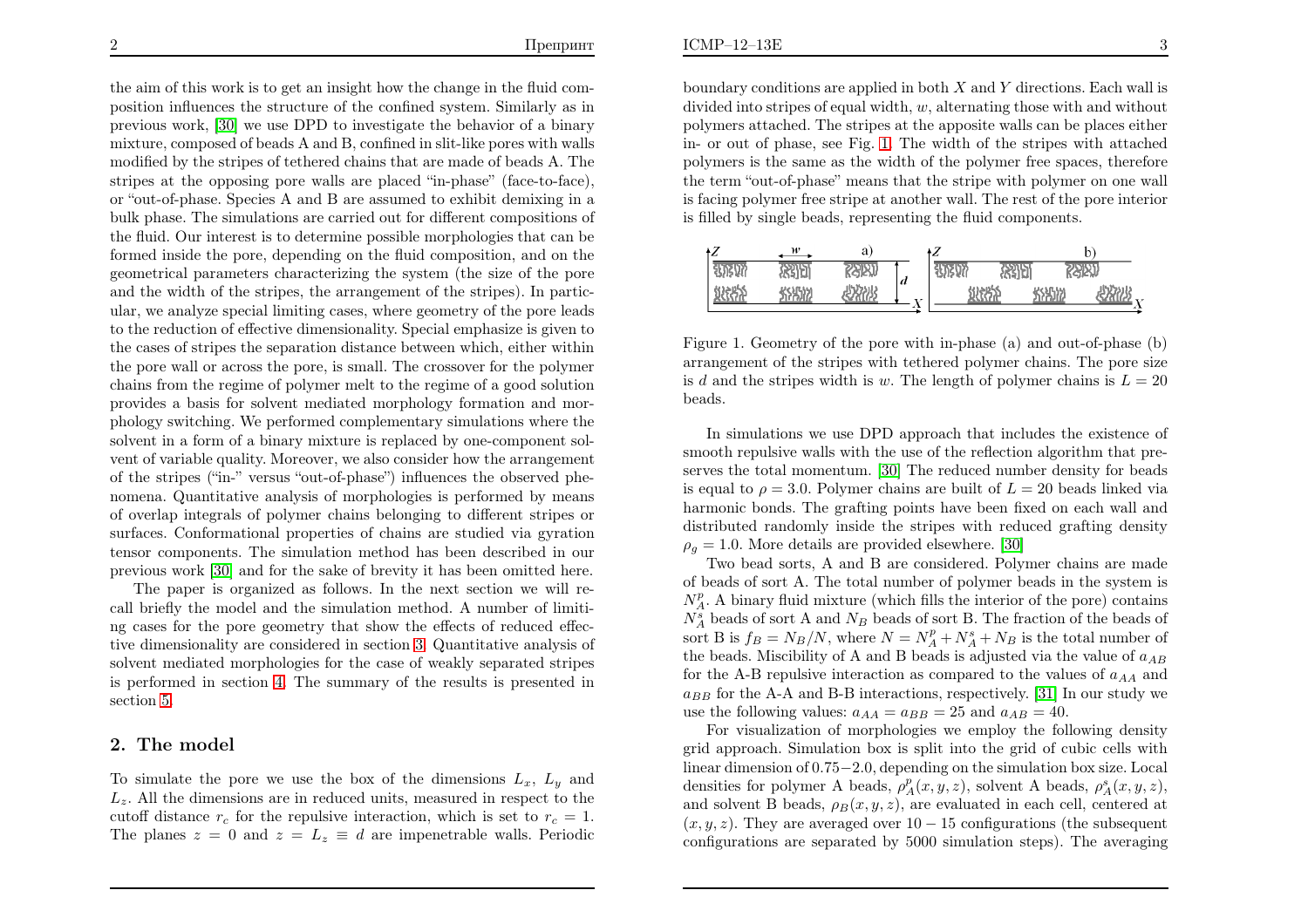the aim of this work is to get an insight how the change in the fluid composition influences the structure of the confined system. Similarly as in previous work, [\[30\]](#page-11-3) we use DPD to investigate the behavior of <sup>a</sup> binary mixture, composed of beads <sup>A</sup> and B, confined in slit-like pores with walls modified by the stripes of tethered chains that are made of beads A. The stripes at the opposing pore walls are <sup>p</sup>laced "in-phase" (face-to-face), or "out-of-phase. Species <sup>A</sup> and <sup>B</sup> are assumed to exhibit demixing in <sup>a</sup> bulk <sup>p</sup>hase. The simulations are carried out for different compositions of the fluid. Our interest is to determine possible morphologies that can be formed inside the pore, depending on the fluid composition, and on the geometrical parameters characterizing the system (the size of the pore and the width of the stripes, the arrangement of the stripes). In particular, we analyze special limiting cases, where geometry of the pore leads to the reduction of effective dimensionality. Special emphasize is <sup>g</sup>iven to the cases of stripes the separation distance between which, either within the pore wall or across the pore, is small. The crossover for the polymer chains from the regime of polymer melt to the regime of <sup>a</sup> good solution provides <sup>a</sup> basis for solvent mediated morphology formation and mor<sup>p</sup>hology switching. We performed complementary simulations where the solvent in <sup>a</sup> form of <sup>a</sup> binary mixture is replaced by one-component solvent of variable quality. Moreover, we also consider how the arrangement of the stripes ("in-" versus "out-of-phase") influences the observed <sup>p</sup>henomena. Quantitative analysis of morphologies is performed by means of overlap integrals of polymer chains belonging to different stripes or surfaces. Conformational properties of chains are studied via gyration tensor components. The simulation method has been described in ourprevious work [\[30\]](#page-11-3) and for the sake of brevity it has been omitted here.

The paper is organized as follows. In the next section we will recall briefly the model and the simulation method. <sup>A</sup> number of limiting cases for the pore geometry that show the effects of reduced effective dimensionality are considered in section [3](#page-3-0). Quantitative analysis of solvent mediated morphologies for the case of weakly separated stripes is performed in section [4.](#page-5-0) The summary of the results is presented insection [5.](#page-9-0)

# 2. The model

To simulate the pore we use the box of the dimensions  $L_x$ ,  $L_y$  and  $L<sub>z</sub>$ . All the dimensions are in reduced units, measured in respect to the cutoff distance  $r_c$  for the repulsive interaction, which is set to  $r_c = 1$ . The planes  $z = 0$  and  $z = L_z \equiv d$  are impenetrable walls. Periodic

boundary conditions are applied in both  $X$  and  $Y$  directions. Each wall is divided into stripes of equal width,  $w$ , alternating those with and without polymers attached. The stripes at the apposite walls can be <sup>p</sup>laces either in- or out of <sup>p</sup>hase, see Fig. [1](#page-2-0). The width of the stripes with attached polymers is the same as the width of the polymer free spaces, therefore the term "out-of-phase" means that the stripe with polymer on one wall is facing polymer free stripe at another wall. The rest of the pore interior is filled by single beads, representing the fluid components.

<span id="page-2-0"></span>

| ٠Z                                            | w            | а            |                 | ١Z           |    |       |     |
|-----------------------------------------------|--------------|--------------|-----------------|--------------|----|-------|-----|
| <b>UNIVY</b>                                  | 紹町           | 恐別           |                 | <b>HARVI</b> | 網町 | 恐别    |     |
| \$12855<br>$\sim$ $\sim$ $\sim$ $\sim$ $\sim$ | <b>SASAY</b> | <b>RASHS</b> | d<br><b>v</b> × |              |    | 58512 | 心饮用 |
|                                               |              |              | ∡⊾<br>۰.        |              |    |       |     |

Figure 1. Geometry of the pore with in-phase (a) and out-of-phase (b) arrangement of the stripes with tethered polymer chains. The pore sizeis d and the stripes width is w. The length of polymer chains is  $L = 20$ beads.

In simulations we use DPD approac<sup>h</sup> that includes the existence of smooth repulsive walls with the use of the reflection algorithm that preserves the total momentum. [\[30\]](#page-11-3) The reduced number density for beadsis equal to  $\rho = 3.0$ . Polymer chains are built of  $L = 20$  beads linked via harmonic bonds. The grafting points have been fixed on each wall and distributed randomly inside the stripes with reduced grafting density $\rho_g = 1.0$ . More details are provided elsewhere. [\[30\]](#page-11-3)

Two bead sorts, <sup>A</sup> and <sup>B</sup> are considered. Polymer chains are made of beads of sort A. The total number of polymer beads in the system is $N_A^p$ . A binary fluid mixture (which fills the interior of the pore) contains  $N_A^s$  beads of sort A and  $N_B$  beads of sort B. The fraction of the beads of sort B is  $f_B = N_B/N$ , where  $N = N_A^p + N_A^s + N_B$  is the total number of the beads. Miscibility of A and B beads is adjusted via the value of  $a_{AB}$ for the A-B repulsive interaction as compared to the values of  $a_{AA}$  and  $a_{BB}$  for the A-A and B-B interactions, respectively. [\[31\]](#page-11-5) In our study we use the following values:  $a_{AA} = a_{BB} = 25$  and  $a_{AB} = 40$ .

 For visualization of morphologies we employ the following density grid approach. Simulation box is split into the grid of cubic cells with linear dimension of <sup>0</sup>.<sup>75</sup><sup>−</sup>2.0, depending on the simulation box size. Local densities for polymer A beads,  $\rho_A^p(x, y, z)$ , solvent A beads,  $\rho_A^s(x, y, z)$ , and solvent B beads,  $\rho_B(x, y, z)$ , are evaluated in each cell, centered at  $(x, y, z)$ . They are averaged over  $10 - 15$  configurations (the subsequent configurations are separated by <sup>5000</sup> simulation steps). The averaging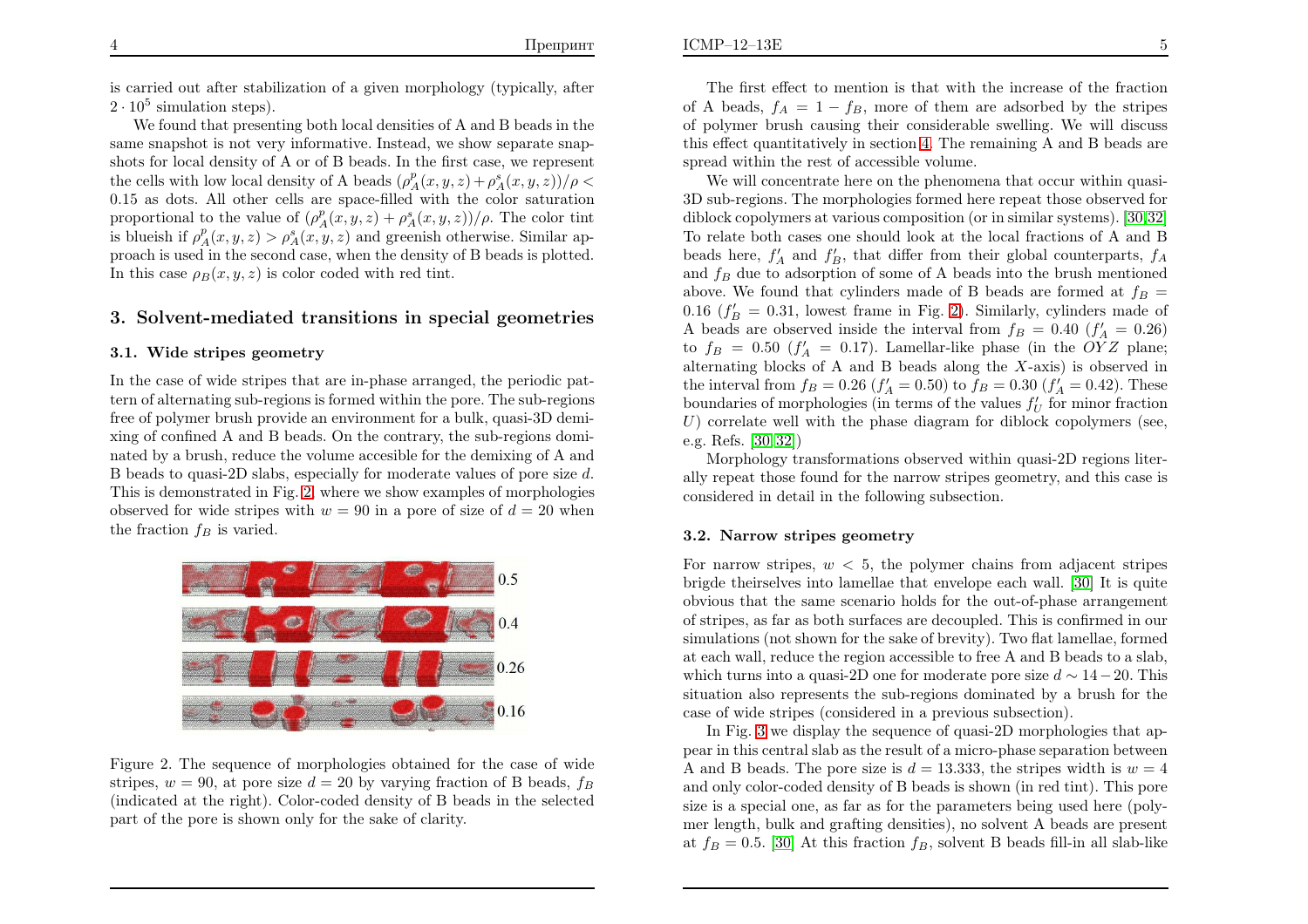<span id="page-3-0"></span> $\mathbf{E}$  5

is carried out after stabilization of <sup>a</sup> <sup>g</sup>iven morphology (typically, after $2 \cdot 10^5$  simulation steps).

We found that presenting both local densities of <sup>A</sup> and <sup>B</sup> beads in the same snapshot is not very informative. Instead, we show separate snapshots for local density of <sup>A</sup> or of <sup>B</sup> beads. In the first case, we representthe cells with low local density of A beads  $(\rho_A^p(x, y, z) + \rho_A^s(x, y, z))/\rho$  0.15 as dots. All other cells are space-filled with the color saturationproportional to the value of  $(\rho_A^p(x, y, z) + \rho_A^s(x, y, z))/\rho$ . The color tint is blueish if  $\rho_A^p(x, y, z) > \rho_A^s(x, y, z)$  and greenish otherwise. Similar ap- proac<sup>h</sup> is used in the second case, when the density of <sup>B</sup> beads is <sup>p</sup>lotted. In this case  $\rho_B(x, y, z)$  is color coded with red tint.

# 3. Solvent-mediated transitions in special geometries

#### 3.1. Wide stripes geometry

In the case of wide stripes that are in-phase arranged, the periodic pattern of alternating sub-regions is formed within the pore. The sub-regions free of polymer brush provide an environment for <sup>a</sup> bulk, quasi-3D demixing of confined <sup>A</sup> and <sup>B</sup> beads. On the contrary, the sub-regions dominated by <sup>a</sup> brush, reduce the volume accesible for the demixing of <sup>A</sup> andB beads to quasi-2D slabs, especially for moderate values of pore size d. This is demonstrated in Fig. [2](#page-3-1), where we show examples of morphologiesobserved for wide stripes with  $w = 90$  in a pore of size of  $d = 20$  when the fraction  $f_B$  is varied.



Figure 2. The sequence of morphologies obtained for the case of wide stripes,  $w = 90$ , at pore size  $d = 20$  by varying fraction of B beads,  $f_B$  (indicated at the right). Color-coded density of <sup>B</sup> beads in the selectedpart of the pore is shown only for the sake of clarity.

The first effect to mention is that with the increase of the fractionof A beads,  $f_A = 1 - f_B$ , more of them are adsorbed by the stripes of polymer brush causing their considerable swelling. We will discuss this effect quantitatively in section [4](#page-5-0). The remaining <sup>A</sup> and <sup>B</sup> beads are spread within the rest of accessible volume.

<span id="page-3-2"></span><span id="page-3-1"></span>We will concentrate here on the <sup>p</sup>henomena that occur within quasi-3D sub-regions. The morphologies formed here repeat those observed for diblock copolymers at various composition (or in similar systems). [\[30,](#page-11-3)[32\]](#page-11-4) To relate both cases one should look at the local fractions of <sup>A</sup> and <sup>B</sup>beads here,  $f'_A$  and  $f'_B$ , that differ from their global counterparts,  $f_A$ and  $f_B$  due to adsorption of some of A beads into the brush mentioned above. We found that cylinders made of B beads are formed at  $f_B=$ 0.16 ( $f'_B = 0.31$ , lowest frame in Fig. [2\)](#page-3-1). Similarly, cylinders made of A beads are observed inside the interval from  $f_B = 0.40$   $(f'_A = 0.26)$ <br>to  $f'_B = 0.50$   $(f'_B = 0.17)$  Lamellar like phase (in the OVZ planet to  $f_B = 0.50$  ( $f'_A = 0.17$ ). Lamellar-like phase (in the OYZ plane;<br>alternative blocks of A and B bands along the Y avia) is absented in alternating blocks of A and B beads along the  $X$ -axis) is observed in the interval from  $f_B = 0.26$   $(f'_A = 0.50)$  to  $f_B = 0.30$   $(f'_A = 0.42)$ . These boundaries of morphologies (in terms of the values  $f'_U$  for minor fraction  $U$ ) complete well with the values discusses for dislactions and means (exception  $U$ ) correlate well with the phase diagram for diblock copolymers (see, e.g. Refs. [\[30,](#page-11-3) [32\]](#page-11-4))

 Morphology transformations observed within quasi-2D regions literally repeat those found for the narrow stripes geometry, and this case is considered in detail in the following subsection.

#### 3.2. Narrow stripes geometry

For narrow stripes,  $w < 5$ , the polymer chains from adjacent stripes brigde theirselves into lamellae that envelope each wall. [\[30\]](#page-11-3) It is quite obvious that the same scenario holds for the out-of-phase arrangement of stripes, as far as both surfaces are decoupled. This is confirmed in our simulations (not shown for the sake of brevity). Two flat lamellae, formed at each wall, reduce the region accessible to free <sup>A</sup> and <sup>B</sup> beads to <sup>a</sup> slab, which turns into a quasi-2D one for moderate pore size  $d \sim 14 - 20$ . This situation also represents the sub-regions dominated by <sup>a</sup> brush for thecase of wide stripes (considered in <sup>a</sup> previous subsection).

In Fig. [3](#page-4-0) we display the sequence of quasi-2D morphologies that appear in this central slab as the result of <sup>a</sup> micro-phase separation betweenA and B beads. The pore size is  $d = 13.333$ , the stripes width is  $w = 4$  and only color-coded density of <sup>B</sup> beads is shown (in red tint). This pore size is <sup>a</sup> special one, as far as for the parameters being used here (polymer length, bulk and grafting densities), no solvent <sup>A</sup> beads are present at  $f_B = 0.5$ . [\[30\]](#page-11-3) At this fraction  $f_B$ , solvent B beads fill-in all slab-like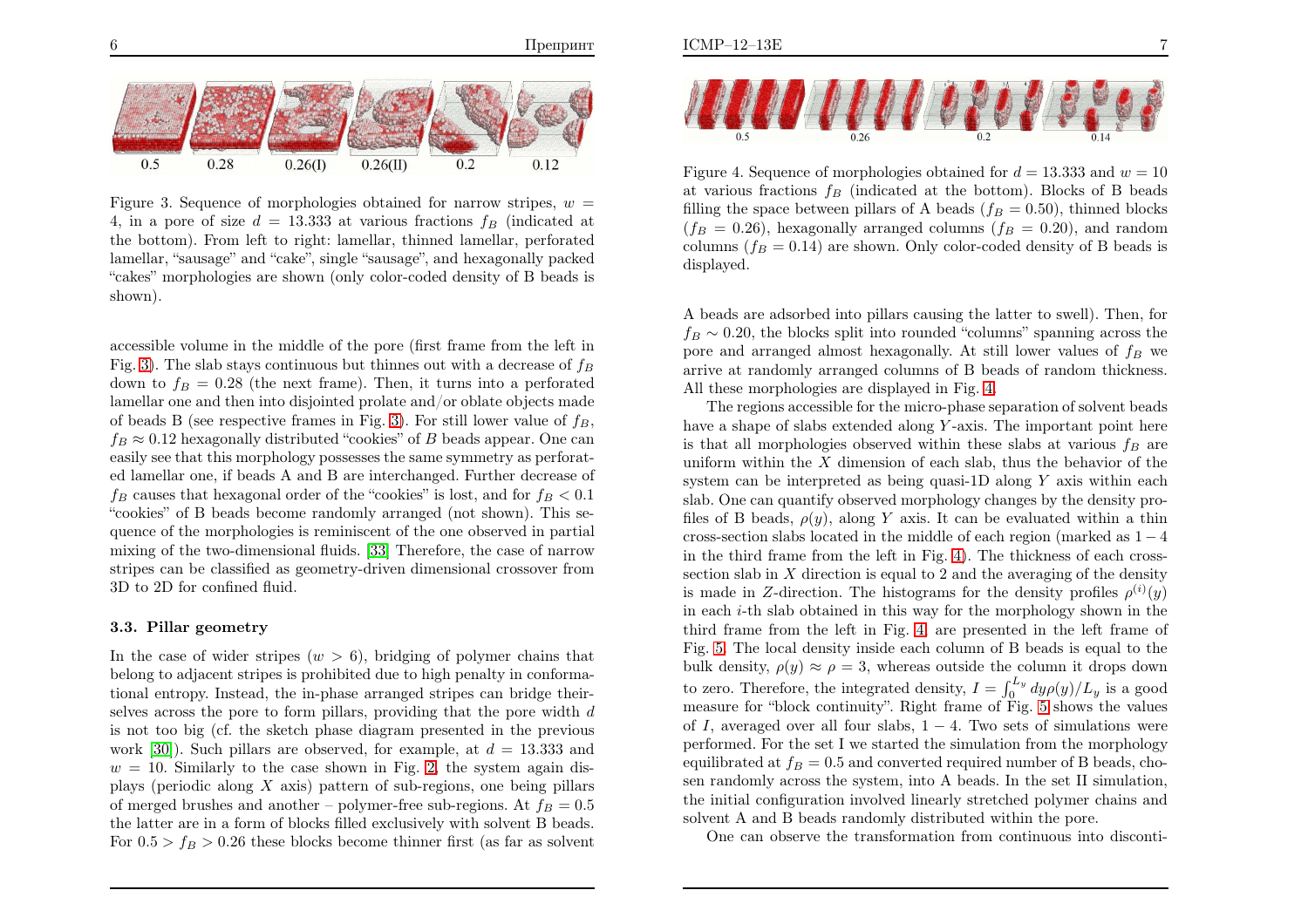

Figure 3. Sequence of morphologies obtained for narrow stripes,  $w =$ 4, in a pore of size  $d = 13.333$  at various fractions  $f_B$  (indicated at the bottom). From left to right: lamellar, thinned lamellar, perforated lamellar, "sausage" and "cake", single "sausage", and hexagonally packed "cakes" morphologies are shown (only color-coded density of <sup>B</sup> beads isshown).

accessible volume in the middle of the pore (first frame from the left inFig. [3\)](#page-4-0). The slab stays continuous but thinnes out with a decrease of  $f_B$ down to  $f_B = 0.28$  (the next frame). Then, it turns into a perforated lamellar one and then into disjointed prolate and/or oblate objects made of beads B (see respective frames in Fig. [3\)](#page-4-0). For still lower value of  $f_B$ ,  $f_B \approx 0.12$  hexagonally distributed "cookies" of B beads appear. One can easily see that this morphology possesses the same symmetry as perforated lamellar one, if beads <sup>A</sup> and <sup>B</sup> are interchanged. Further decrease of  $f_B$  causes that hexagonal order of the "cookies" is lost, and for  $f_B < 0.1$  "cookies" of <sup>B</sup> beads become randomly arranged (not shown). This sequence of the morphologies is reminiscent of the one observed in partial mixing of the two-dimensional fluids. [\[33\]](#page-11-6) Therefore, the case of narrow stripes can be classified as geometry-driven dimensional crossover from3D to 2D for confined fluid.

#### 3.3. Pillar geometry

In the case of wider stripes  $(w > 6)$ , bridging of polymer chains that belong to adjacent stripes is prohibited due to high penalty in conformational entropy. Instead, the in-phase arranged stripes can bridge theirselves across the pore to form pillars, providing that the pore width  $d$  is not too big (cf. the sketch <sup>p</sup>hase diagram presented in the previouswork [\[30\]](#page-11-3)). Such pillars are observed, for example, at  $d = 13.333$  and  $w = 10$ . Similarly to the case shown in Fig. [2,](#page-3-1) the system again displays (periodic along X axis) pattern of sub-regions, one being pillars of merged brushes and another – polymer-free sub-regions. At  $f_B = 0.5$ the latter are in <sup>a</sup> form of blocks filled exclusively with solvent <sup>B</sup> beads. For  $0.5 > f_B > 0.26$  these blocks become thinner first (as far as solvent



<span id="page-4-2"></span>Figure 4. Sequence of morphologies obtained for  $d = 13.333$  and  $w = 10$ at various fractions  $f_B$  (indicated at the bottom). Blocks of B beads filling the space between pillars of A beads ( $f_B = 0.50$ ), thinned blocks  $(f_B = 0.26)$ , hexagonally arranged columns  $(f_B = 0.20)$ , and random columns ( $f_B = 0.14$ ) are shown. Only color-coded density of B beads is displayed.

<span id="page-4-1"></span><span id="page-4-0"></span>A beads are adsorbed into <sup>p</sup>illars causing the latter to swell). Then, for $f_B \sim 0.20$ , the blocks split into rounded "columns" spanning across the pore and arranged almost hexagonally. At still lower values of  $f_B$  we arrive at randomly arranged columns of <sup>B</sup> beads of random thickness. All these morphologies are displayed in Fig. [4.](#page-4-1)

The regions accessible for the micro-phase separation of solvent beadshave a shape of slabs extended along Y-axis. The important point here is that all morphologies observed within these slabs at various  $f_B$  are uniform within the  $X$  dimension of each slab, thus the behavior of the existence are has intermeded as heirar success 1D along  $X$  axis within as able system can be interpreted as being quasi-1D along  $Y$  axis within each slab. One can quantify observed morphology changes by the density profiles of B beads,  $\rho(y)$ , along Y axis. It can be evaluated within a thin cross-section slabs located in the middle of each region (marked as  $1 - 4$ ) in the third frame from the left in Fig. [4\)](#page-4-1). The thickness of each crosssection slab in X direction is equal to 2 and the averaging of the density<br>is mode in  $Z$  direction. The histograms for the density profiles  $e^{(i)}(x)$ is made in Z-direction. The histograms for the density profiles  $\rho^{(i)}(y)$  in each <sup>i</sup>-th slab obtained in this way for the morphology shown in the third frame from the left in Fig. [4,](#page-4-1) are presented in the left frame of Fig. [5](#page-5-1). The local density inside each column of <sup>B</sup> beads is equa<sup>l</sup> to thebulk density,  $\rho(y) \approx \rho = 3$ , whereas outside the column it drops down to zero. Therefore, the integrated density,  $I = \int_0^{L_y} dy \rho(y)/L_y$  is a good measure for "block continuity". Right frame of Fig. [5](#page-5-1) shows the valuesof I, averaged over all four slabs,  $1 - 4$ . Two sets of simulations were performed. For the set <sup>I</sup> we started the simulation from the morphologyequilibrated at  $f_B = 0.5$  and converted required number of B beads, cho sen randomly across the system, into <sup>A</sup> beads. In the set II simulation, the initial configuration involved linearly stretched polymer chains andsolvent <sup>A</sup> and <sup>B</sup> beads randomly distributed within the pore.

One can observe the transformation from continuous into disconti-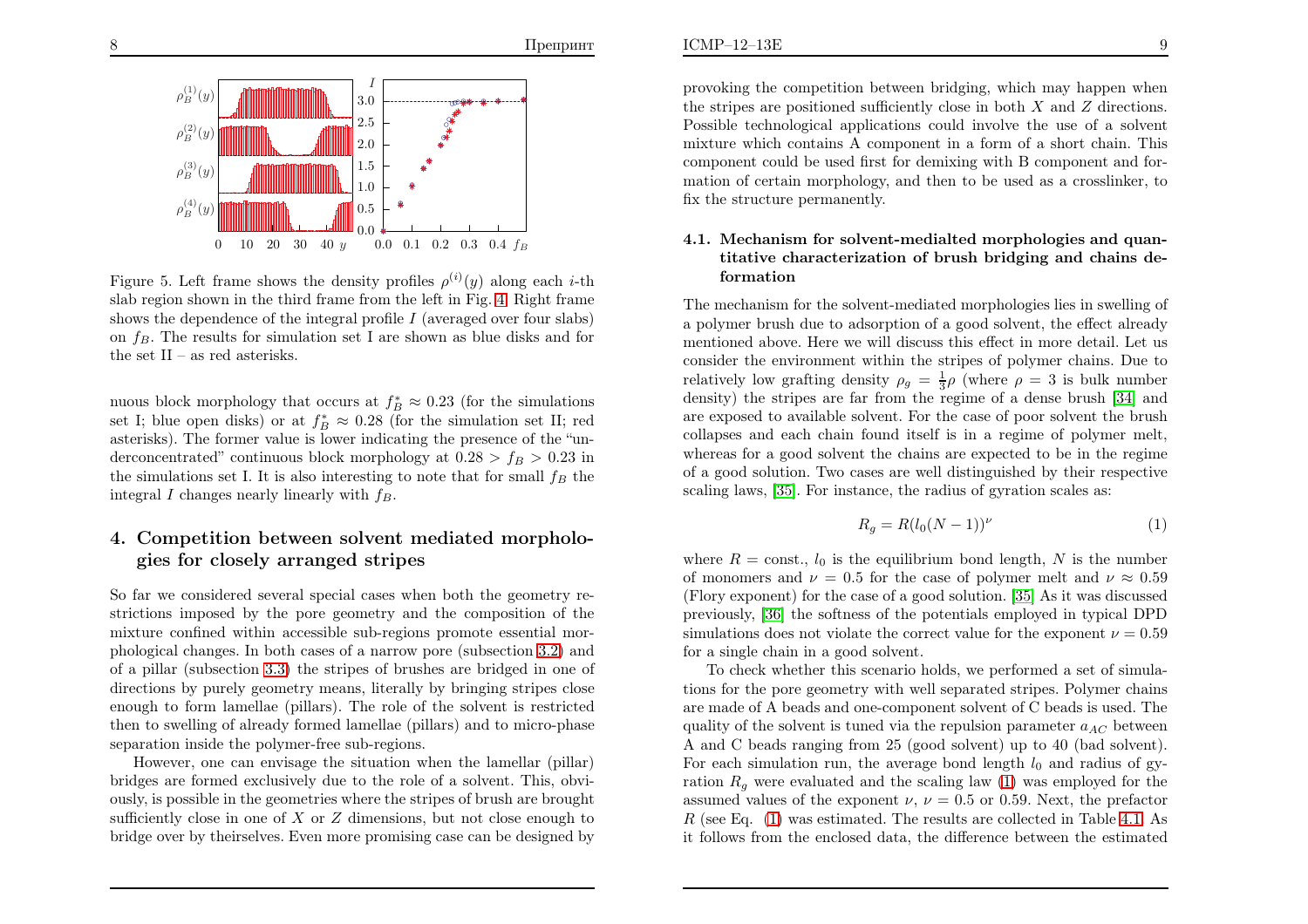

Figure 5. Left frame shows the density profiles  $\rho^{(i)}(y)$  along each *i*-th slab region shown in the third frame from the left in Fig. [4.](#page-4-1) Right frameshows the dependence of the integral profile  $I$  (averaged over four slabs) on  $f_B$ . The results for simulation set I are shown as blue disks and for the set  $II$  – as red asterisks.

nuous block morphology that occurs at  $f^*_{\beta} \approx 0.23$  (for the simulations set I; blue open disks) or at  $f_B^* \approx 0.28$  (for the simulation set II; red asterisks). The former value is lower indicating the presence of the "underconcentrated" continuous block morphology at  $0.28 > f_B > 0.23$  in the simulations set I. It is also interesting to note that for small  $f_B$  the integral I changes nearly linearly with  $f_B$ .

### 4. Competition between solvent mediated morpholo<sup>g</sup>ies for closely arranged stripes

So far we considered several special cases when both the geometry restrictions imposed by the pore geometry and the composition of the mixture confined within accessible sub-regions promote essential mor<sup>p</sup>hological changes. In both cases of <sup>a</sup> narrow pore (subsection [3.2\)](#page-3-2) and of <sup>a</sup> <sup>p</sup>illar (subsection [3.3](#page-4-2)) the stripes of brushes are bridged in one of directions by purely geometry means, literally by bringing stripes close enoug<sup>h</sup> to form lamellae (pillars). The role of the solvent is restricted then to swelling of already formed lamellae (pillars) and to micro-phase separation inside the polymer-free sub-regions.

However, one can envisage the situation when the lamellar (pillar) bridges are formed exclusively due to the role of <sup>a</sup> solvent. This, obviously, is possible in the geometries where the stripes of brush are broughtsufficiently close in one of  $X$  or  $Z$  dimensions, but not close enough to heigher space is the interesting of  $\Sigma$ bridge over by theirselves. Even more promising case can be designed by

provoking the competition between bridging, which may happen whenthe stripes are positioned sufficiently close in both X and Z directions.<br>Received to the properties of a second integer the use of a second Possible technological applications could involve the use of <sup>a</sup> solvent mixture which contains <sup>A</sup> component in <sup>a</sup> form of <sup>a</sup> short chain. This component could be used first for demixing with <sup>B</sup> component and formation of certain morphology, and then to be used as <sup>a</sup> crosslinker, tofix the structure permanently.

### <span id="page-5-1"></span><span id="page-5-0"></span>4.1. Mechanism for solvent-medialted morphologies and quantitative characterization of brush bridging and chains deformation

<span id="page-5-2"></span>The mechanism for the solvent-mediated morphologies lies in swelling of <sup>a</sup> polymer brush due to adsorption of <sup>a</sup> good solvent, the effect already mentioned above. Here we will discuss this effect in more detail. Let us consider the environment within the stripes of polymer chains. Due torelatively low grafting density  $\rho_g = \frac{1}{3}\rho$  (where  $\rho = 3$  is bulk number density) the stripes are far from the regime of <sup>a</sup> dense brush [\[34\]](#page-11-7) and are exposed to available solvent. For the case of poor solvent the brush collapses and each chain found itself is in <sup>a</sup> regime of polymer melt, whereas for <sup>a</sup> good solvent the chains are expected to be in the regime of <sup>a</sup> good solution. Two cases are well distinguished by their respectivescaling laws, [\[35\]](#page-11-8). For instance, the radius of gyration scales as:

$$
R_g = R(l_0(N-1))^\nu \tag{1}
$$

where  $R = \text{const.}$ ,  $l_0$  is the equilibrium bond length, N is the number of monomers and  $\nu = 0.5$  for the case of polymer melt and  $\nu \approx 0.59$  (Flory exponent) for the case of <sup>a</sup> good solution. [\[35\]](#page-11-8) As it was discussed previously, [\[36\]](#page-11-9) the softness of the potentials employed in typical DPDsimulations does not violate the correct value for the exponent  $\nu = 0.59$ for <sup>a</sup> single chain in <sup>a</sup> good solvent.

To check whether this scenario holds, we performed <sup>a</sup> set of simulations for the pore geometry with well separated stripes. Polymer chains are made of <sup>A</sup> beads and one-component solvent of <sup>C</sup> beads is used. Thequality of the solvent is tuned via the repulsion parameter  $a_{AC}$  between A and C beads ranging from 25 (good solvent) up to 40 (bad solvent). For each simulation run, the average bond length  $l_0$  and radius of gyration  $R_g$  were evaluated and the scaling law [\(1\)](#page-5-2) was employed for the assumed values of the exponent  $\nu, \nu = 0.5$  or 0.59. Next, the prefactor  $R$  (see Eq. [\(1\)](#page-5-2) was estimated. The results are collected in Table [4.1](#page-5-2). As it follows from the enclosed data, the difference between the estimated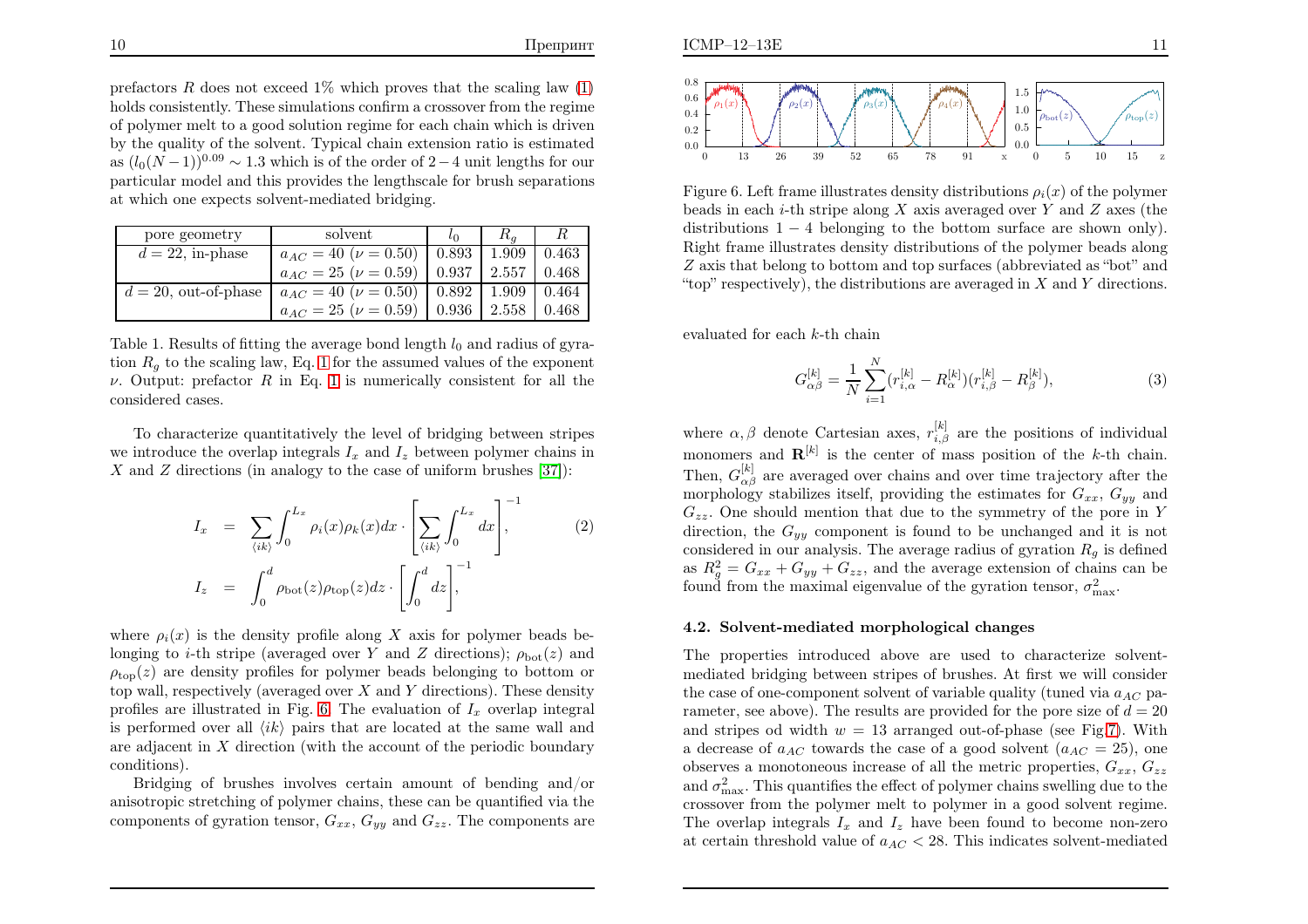prefactors  $R$  does not exceed 1% which proves that the scaling law  $(1)$  holds consistently. These simulations confirm <sup>a</sup> crossover from the regime of polymer melt to <sup>a</sup> good solution regime for each chain which is driven by the quality of the solvent. Typical chain extension ratio is estimatedas  $(l_0(N-1))^{0.09} \sim 1.3$  which is of the order of 2−4 unit lengths for our particular model and this provides the lengthscale for brush separationsat which one expects solvent-mediated bridging.

| pore geometry           | solvent                                                                 |        |       |
|-------------------------|-------------------------------------------------------------------------|--------|-------|
| $d = 22$ , in-phase     | $a_{AC} = 40 \; (\nu = 0.50) \;   \; 0.893 \;   \; 1.909 \;   \; 0.463$ |        |       |
|                         | $a_{AC} = 25 \; (\nu = 0.59) \;   \; 0.937 \;   \; 2.557$               |        | 0.468 |
| $d = 20$ , out-of-phase | $a_{AC} = 40 \; (\nu = 0.50) \;   \; 0.892 \;   \; 1.909 \;   \; 0.464$ |        |       |
|                         | $a_{AC} = 25 \; (\nu = 0.59) \;   \; 0.936$                             | 12.558 | 0.468 |

Table 1. Results of fitting the average bond length  $l_0$  and radius of gyration  $R_g$  to the scaling law, Eq. [1](#page-5-2) for the assumed values of the exponent *ν*. Output: prefactor R in Eq. [1](#page-5-2) is numerically consistent for all the considered cases.

To characterize quantitatively the level of bridging between stripeswe introduce the overlap integrals  $I_x$  and  $I_z$  between polymer chains in X and Z directions (in analogy to the case of uniform brushes [\[37\]](#page-11-10)):

$$
I_x = \sum_{\langle ik \rangle} \int_0^{L_x} \rho_i(x) \rho_k(x) dx \cdot \left[ \sum_{\langle ik \rangle} \int_0^{L_x} dx \right],
$$
  
\n
$$
I_z = \int_0^d \rho_{\text{bot}}(z) \rho_{\text{top}}(z) dz \cdot \left[ \int_0^d dz \right],
$$
\n(2)

where  $\rho_i(x)$  is the density profile along X axis for polymer beads be-<br>language to it is tripe (currently strain X and Z directions), and (a) and longing to *i*-th stripe (averaged over Y and Z directions);  $\rho_{\text{bot}}(z)$  and  $\rho_{\text{top}}(z)$  are density profiles for polymer beads belonging to bottom or top wall, respectively (averaged over X and Y directions). These density profiles are illustrated in Fig. [6.](#page-6-0) The evaluation of  $I_x$  overlap integral is performed over all  $\langle ik \rangle$  pairs that are located at the same wall and are adjacent in X direction (with the account of the periodic boundary<br>  $\sum_{n=1}^{\infty}$ conditions).

Bridging of brushes involves certain amount of bending and/or anisotropic stretching of polymer chains, these can be quantified via thecomponents of gyration tensor,  $G_{xx}$ ,  $G_{yy}$  and  $G_{zz}$ . The components are



Figure 6. Left frame illustrates density distributions  $\rho_i(x)$  of the polymer beads in each *i*-th stripe along X axis averaged over Y and Z axes (the distributions 1, 4 helonging to the hottom surface are shown only). distributions  $1 - 4$  belonging to the bottom surface are shown only). Right frame illustrates density distributions of the polymer beads alongZ axis that belong to bottom and top surfaces (abbreviated as "bot" and "top" respectively), the distributions are averaged in  $X$  and  $Y$  directions.

evaluated for each  $k$ -th chain

<span id="page-6-0"></span>
$$
G_{\alpha\beta}^{[k]} = \frac{1}{N} \sum_{i=1}^{N} (r_{i,\alpha}^{[k]} - R_{\alpha}^{[k]})(r_{i,\beta}^{[k]} - R_{\beta}^{[k]}),
$$
\n(3)

where  $\alpha, \beta$  denote Cartesian axes,  $r_{i,\beta}^{[k]}$  are the positions of individual monomers and  $\mathbf{R}^{[k]}$  is the center of mass position of the k-th chain. Then,  $G_{\alpha\beta}^{[k]}$  are averaged over chains and over time trajectory after the morphology stabilizes itself, providing the estimates for  $G_{xx}$ ,  $G_{yy}$  and  $G_{zz}$ . One should mention that due to the symmetry of the pore in Y direction, the  $G_{yy}$  component is found to be unchanged and it is not considered in our analysis. The average radius of gyration  $R_g$  is defined as  $R_g^2 = G_{xx} + G_{yy} + G_{zz}$ , and the average extension of chains can be found from the maximal eigenvalue of the gyration tensor,  $\sigma_{\text{max}}^2$ .

### 4.2. Solvent-mediated morphological changes

The properties introduced above are used to characterize solventmediated bridging between stripes of brushes. At first we will considerthe case of one-component solvent of variable quality (tuned via  $a_{AC}$  parameter, see above). The results are provided for the pore size of  $d = 20$ and stripes od width  $w = 13$  arranged out-of-phase (see Fig[.7\)](#page-7-0). With a decrease of  $a_{AC}$  towards the case of a good solvent  $(a_{AC} = 25)$ , one observes a monotoneous increase of all the metric properties,  $G_{xx}$ ,  $G_{zz}$ and  $\sigma_{\max}^2$ . This quantifies the effect of polymer chains swelling due to the crossover from the polymer melt to polymer in <sup>a</sup> good solvent regime. The overlap integrals  $I_x$  and  $I_z$  have been found to become non-zero at certain threshold value of  $a_{AC} < 28$ . This indicates solvent-mediated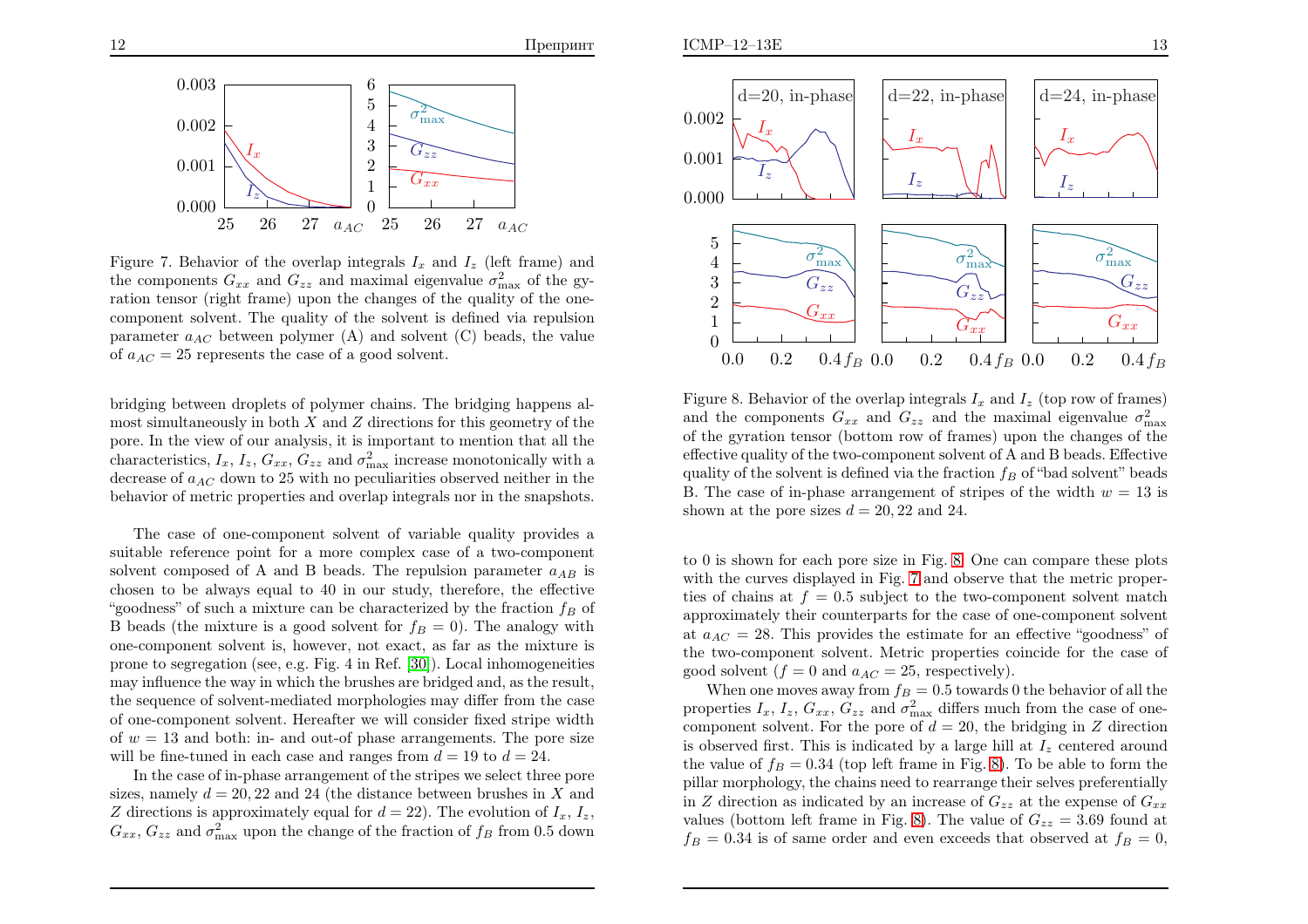



Figure 7. Behavior of the overlap integrals  $I_x$  and  $I_z$  (left frame) and the components  $G_{xx}$  and  $G_{zz}$  and maximal eigenvalue  $\sigma_{\text{max}}^2$  of the gy- ration tensor (right frame) upon the changes of the quality of the onecomponent solvent. The quality of the solvent is defined via repulsionparameter  $a_{AC}$  between polymer (A) and solvent (C) beads, the value of  $a_{AC} = 25$  represents the case of a good solvent.

bridging between droplets of polymer chains. The bridging happens almost simultaneously in both  $X$  and  $Z$  directions for this geometry of the pore. In the view of our analysis, it is important to mention that all thecharacteristics,  $I_x$ ,  $I_z$ ,  $G_{xx}$ ,  $G_{zz}$  and  $\sigma_{\text{max}}^2$  increase monotonically with a decrease of  $a_{AC}$  down to 25 with no peculiarities observed neither in the behavior of metric properties and overlap integrals nor in the snapshots.

The case of one-component solvent of variable quality provides <sup>a</sup> suitable reference point for <sup>a</sup> more complex case of <sup>a</sup> two-componentsolvent composed of A and B beads. The repulsion parameter  $a_{AB}$  is chosen to be always equa<sup>l</sup> to <sup>40</sup> in our study, therefore, the effective "goodness" of such a mixture can be characterized by the fraction  $f_B$  of B beads (the mixture is a good solvent for  $f_B = 0$ ). The analogy with one-component solvent is, however, not exact, as far as the mixture is prone to segregation (see, e.g. Fig. <sup>4</sup> in Ref. [\[30\]](#page-11-3)). Local inhomogeneities may influence the way in which the brushes are bridged and, as the result, the sequence of solvent-mediated morphologies may differ from the case of one-component solvent. Hereafter we will consider fixed stripe widthof  $w = 13$  and both: in- and out-of phase arrangements. The pore size will be fine-tuned in each case and ranges from  $d = 19$  to  $d = 24$ .

 In the case of in-phase arrangement of the stripes we select three poresizes, namely  $d = 20, 22$  and 24 (the distance between brushes in X and Z directions is approximately expected for  $d = 20$ ). The availation of  $I - I$ Z directions is approximately equal for  $d = 22$ ). The evolution of  $I_x$ ,  $I_z$ ,  $G_{xx}$ ,  $G_{zz}$  and  $\sigma_{\text{max}}^2$  upon the change of the fraction of  $f_B$  from 0.5 down



<span id="page-7-1"></span><span id="page-7-0"></span>Figure 8. Behavior of the overlap integrals  $I_x$  and  $I_z$  (top row of frames) and the components  $G_{xx}$  and  $G_{zz}$  and the maximal eigenvalue  $\sigma_{\text{max}}^2$  of the gyration tensor (bottom row of frames) upon the changes of the effective quality of the two-component solvent of <sup>A</sup> and <sup>B</sup> beads. Effectivequality of the solvent is defined via the fraction  $f_B$  of "bad solvent" beads B. The case of in-phase arrangement of stripes of the width  $w = 13$  is shown at the pore sizes  $d = 20, 22$  and 24.

to <sup>0</sup> is shown for each pore size in Fig. [8.](#page-7-1) One can compare these <sup>p</sup>lots with the curves displayed in Fig. [7](#page-7-0) and observe that the metric properties of chains at  $f = 0.5$  subject to the two-component solvent match approximately their counterparts for the case of one-component solventat  $a_{AC} = 28$ . This provides the estimate for an effective "goodness" of the two-component solvent. Metric properties coincide for the case of good solvent  $(f = 0 \text{ and } a_{AC} = 25$ , respectively).

When one moves away from  $f_B = 0.5$  towards 0 the behavior of all the properties  $I_x$ ,  $I_z$ ,  $G_{xx}$ ,  $G_{zz}$  and  $\sigma_{\text{max}}^2$  differs much from the case of onecomponent solvent. For the pore of  $d = 20$ , the bridging in Z direction is observed first. This is indicated by a large hill at  $I_z$  centered around the value of  $f_B = 0.34$  (top left frame in Fig. [8\)](#page-7-1). To be able to form the <sup>p</sup>illar morphology, the chains need to rearrange their selves preferentiallyin Z direction as indicated by an increase of  $G_{zz}$  at the expense of  $G_{xx}$ values (bottom left frame in Fig. [8\)](#page-7-1). The value of  $G_{zz} = 3.69$  found at  $f_B = 0.34$  is of same order and even exceeds that observed at  $f_B = 0$ ,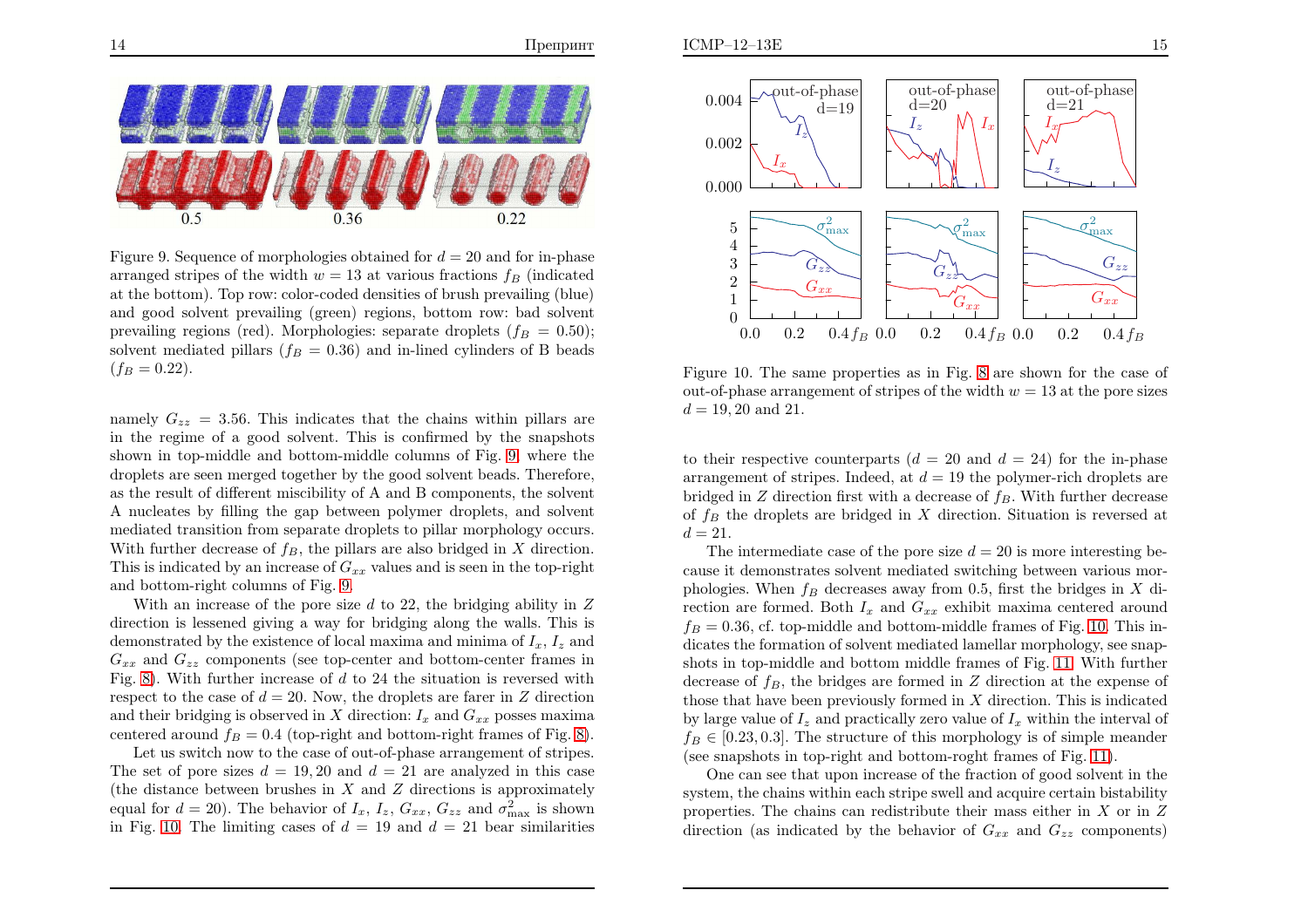

Figure 9. Sequence of morphologies obtained for  $d = 20$  and for in-phase arranged stripes of the width  $w = 13$  at various fractions  $f_B$  (indicated at the bottom). Top row: color-coded densities of brush prevailing (blue) and good solvent prevailing (green) regions, bottom row: bad solventprevailing regions (red). Morphologies: separate droplets  $(f_B = 0.50)$ ; solvent mediated pillars ( $f_B = 0.36$ ) and in-lined cylinders of B beads  $(f_B = 0.22).$ 

namely  $G_{zz} = 3.56$ . This indicates that the chains within pillars are in the regime of <sup>a</sup> good solvent. This is confirmed by the snapshots shown in top-middle and bottom-middle columns of Fig. [9](#page-8-0), where the droplets are seen merged together by the good solvent beads. Therefore, as the result of different miscibility of <sup>A</sup> and <sup>B</sup> components, the solvent A nucleates by filling the gap between polymer droplets, and solvent mediated transition from separate droplets to <sup>p</sup>illar morphology occurs. With further decrease of  $f_B$ , the pillars are also bridged in X direction. This is indicated by an increase of  $G_{xx}$  values and is seen in the top-right and bottom-right columns of Fig. [9.](#page-8-0)

With an increase of the pore size  $d$  to 22, the bridging ability in  $Z$  direction is lessened <sup>g</sup>iving <sup>a</sup> way for bridging along the walls. This isdemonstrated by the existence of local maxima and minima of  $I_x$ ,  $I_z$  and  $G_{xx}$  and  $G_{zz}$  components (see top-center and bottom-center frames in Fig. [8\)](#page-7-1). With further increase of d to <sup>24</sup> the situation is reversed withrespect to the case of  $d = 20$ . Now, the droplets are farer in Z direction and their bridging is observed in X direction:  $I_x$  and  $G_{xx}$  posses maxima centered around  $f_B = 0.4$  (top-right and bottom-right frames of Fig. [8\)](#page-7-1).

 Let us switch now to the case of out-of-phase arrangement of stripes. The set of pore sizes  $d = 19, 20$  and  $d = 21$  are analyzed in this case (the distance between brushes in X and Z directions is approximately<br>  $\sum_{i=1}^{\infty}$  and  $\sum_{i=1}^{\infty}$  and  $\sum_{i=1}^{\infty}$  is about equal for  $d = 20$ ). The behavior of  $I_x$ ,  $I_z$ ,  $G_{xx}$ ,  $G_{zz}$  and  $\sigma_{\text{max}}^2$  is shown in Fig. [10.](#page-8-1) The limiting cases of  $d = 19$  and  $d = 21$  bear similarities



<span id="page-8-1"></span><span id="page-8-0"></span>Figure 10. The same properties as in Fig. [8](#page-7-1) are shown for the case of out-of-phase arrangement of stripes of the width  $w = 13$  at the pore sizes  $d = 19, 20$  and 21.

to their respective counterparts  $(d = 20 \text{ and } d = 24)$  for the in-phase arrangement of stripes. Indeed, at  $d = 19$  the polymer-rich droplets are bridged in  $Z$  direction first with a decrease of  $f_B$ . With further decrease of  $f_B$  the droplets are bridged in X direction. Situation is reversed at  $f_A = 21$  $d = 21.$ 

The intermediate case of the pore size  $d = 20$  is more interesting be cause it demonstrates solvent mediated switching between various morphologies. When  $f_B$  decreases away from 0.5, first the bridges in X di-<br>method are foundd Bath L and C arriviation contant around rection are formed. Both  $I_x$  and  $G_{xx}$  exhibit maxima centered around  $f_B = 0.36$ , cf. top-middl dicates the formation of solvent mediated lamellar morphology, see snapshots in top-middle and bottom middle frames of Fig. [11](#page-9-1). With further decrease of  $f_B$ , the bridges are formed in Z direction at the expense of those that have been previously formed in X direction. This is indicated<br>by large value of L and prestically seen value of L within the interval of by large value of  $I_z$  and practically zero value of  $I_x$  within the interval of  $f_B \in [0.23, 0.3]$ . The structure of this morphology is of simple meander (see snapshots in top-right and bottom-roght frames of Fig. [11\)](#page-9-1).

One can see that upon increase of the fraction of good solvent in the system, the chains within each stripe swell and acquire certain bistabilityproperties. The chains can redistribute their mass either in X or in Z<br>direction (can indicated by the helperican of  $C_{\text{max}}$  or  $C_{\text{max}}$  components) direction (as indicated by the behavior of  $G_{xx}$  and  $G_{zz}$  components)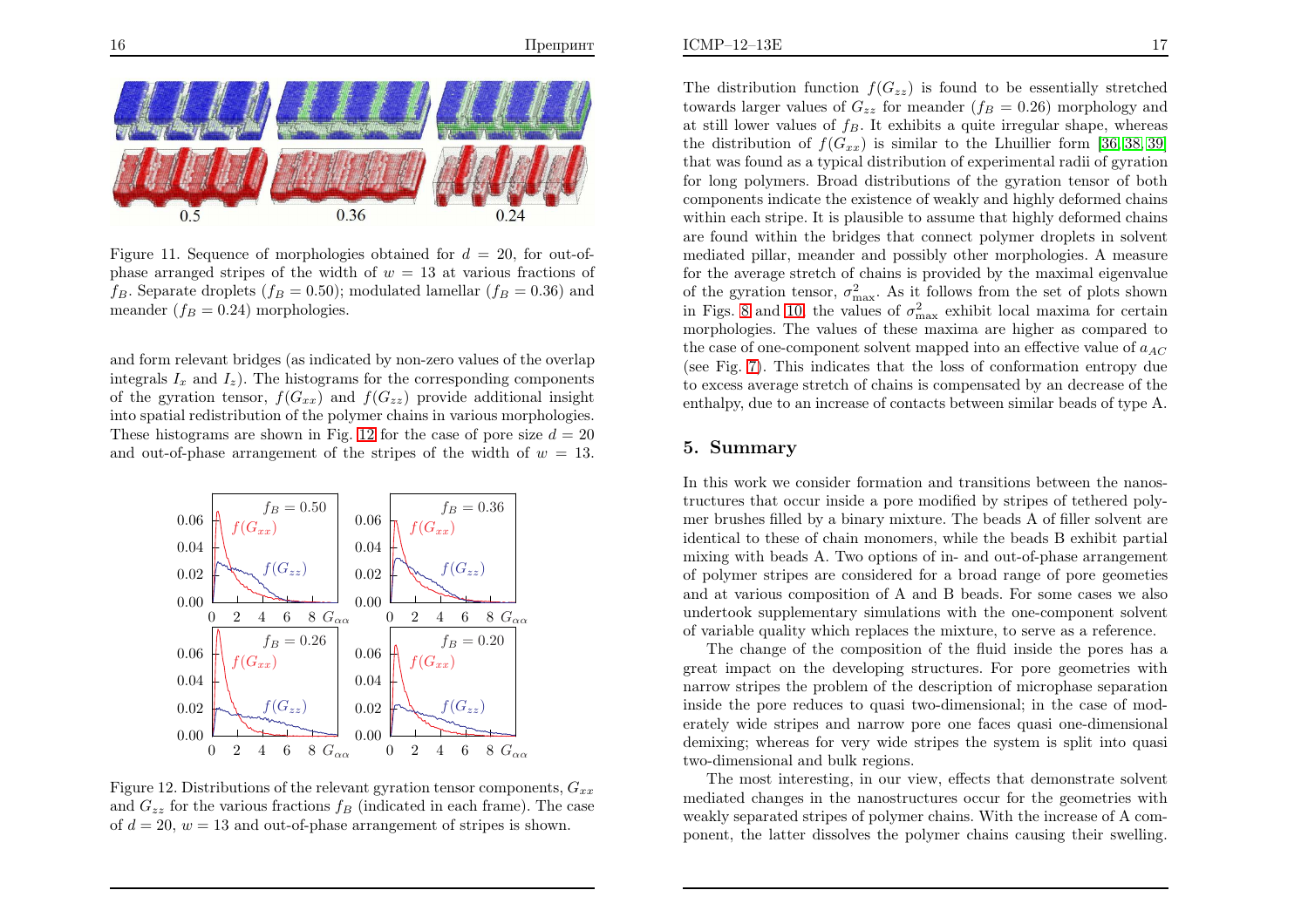

<span id="page-9-2"></span>Figure 11. Sequence of morphologies obtained for  $d = 20$ , for out-ofphase arranged stripes of the width of  $w = 13$  at various fractions of  $f_B$ . Separate droplets  $(f_B = 0.50)$ ; modulated lamellar  $(f_B = 0.36)$  and meander  $(f_B = 0.24)$  morphologies.

and form relevant bridges (as indicated by non-zero values of the overlapintegrals  $I_x$  and  $I_z$ ). The histograms for the corresponding components of the gyration tensor,  $f(G_{xx})$  and  $f(G_{zz})$  provide additional insight into spatial redistribution of the polymer chains in various morphologies. These histograms are shown in Fig. [12](#page-9-2) for the case of pore size  $d = 20$ and out-of-phase arrangement of the stripes of the width of  $w = 13$ .



Figure 12. Distributions of the relevant gyration tensor components,  $G_{xx}$ and  $G_{zz}$  for the various fractions  $f_B$  (indicated in each frame). The case of  $d = 20$ ,  $w = 13$  and out-of-phase arrangement of stripes is shown.

<span id="page-9-0"></span>The distribution function  $f(G_{zz})$  is found to be essentially stretched towards larger values of  $G_{zz}$  for meander  $(f_B = 0.26)$  morphology and at still lower values of  $f_B$ . It exhibits a quite irregular shape, whereas the distribution of  $f(G_{xx})$  is similar to the Lhuillier form [\[36](#page-11-9), [38,](#page-11-11) [39\]](#page-11-12) that was found as <sup>a</sup> typical distribution of experimental radii of gyration for long polymers. Broad distributions of the gyration tensor of both components indicate the existence of weakly and highly deformed chains within each stripe. It is <sup>p</sup>lausible to assume that highly deformed chains are found within the bridges that connect polymer droplets in solvent mediated <sup>p</sup>illar, meander and possibly other morphologies. <sup>A</sup> measure for the average stretch of chains is provided by the maximal eigenvalueof the gyration tensor,  $\sigma_{\text{max}}^2$ . As it follows from the set of plots shown in Figs. [8](#page-7-1) and [10](#page-8-1), the values of  $\sigma_{\text{max}}^2$  exhibit local maxima for certain morphologies. The values of these maxima are higher as compared tothe case of one-component solvent mapped into an effective value of  $a_{AC}$  (see Fig. [7\)](#page-7-0). This indicates that the loss of conformation entropy due to excess average stretch of chains is compensated by an decrease of theenthalpy, due to an increase of contacts between similar beads of type A.

### <span id="page-9-1"></span>5. Summary

In this work we consider formation and transitions between the nanostructures that occur inside <sup>a</sup> pore modified by stripes of tethered polymer brushes filled by <sup>a</sup> binary mixture. The beads <sup>A</sup> of filler solvent are identical to these of chain monomers, while the beads <sup>B</sup> exhibit partial mixing with beads A. Two options of in- and out-of-phase arrangement of polymer stripes are considered for <sup>a</sup> broad range of pore geometies and at various composition of <sup>A</sup> and <sup>B</sup> beads. For some cases we also undertook supplementary simulations with the one-component solventof variable quality which replaces the mixture, to serve as <sup>a</sup> reference.

The change of the composition of the fluid inside the pores has a great impact on the developing structures. For pore geometries with narrow stripes the problem of the description of microphase separation inside the pore reduces to quas<sup>i</sup> two-dimensional; in the case of moderately wide stripes and narrow pore one faces quas<sup>i</sup> one-dimensional demixing; whereas for very wide stripes the system is split into quas<sup>i</sup> two-dimensional and bulk regions.

The most interesting, in our view, effects that demonstrate solvent mediated changes in the nanostructures occur for the geometries with weakly separated stripes of polymer chains. With the increase of <sup>A</sup> component, the latter dissolves the polymer chains causing their swelling.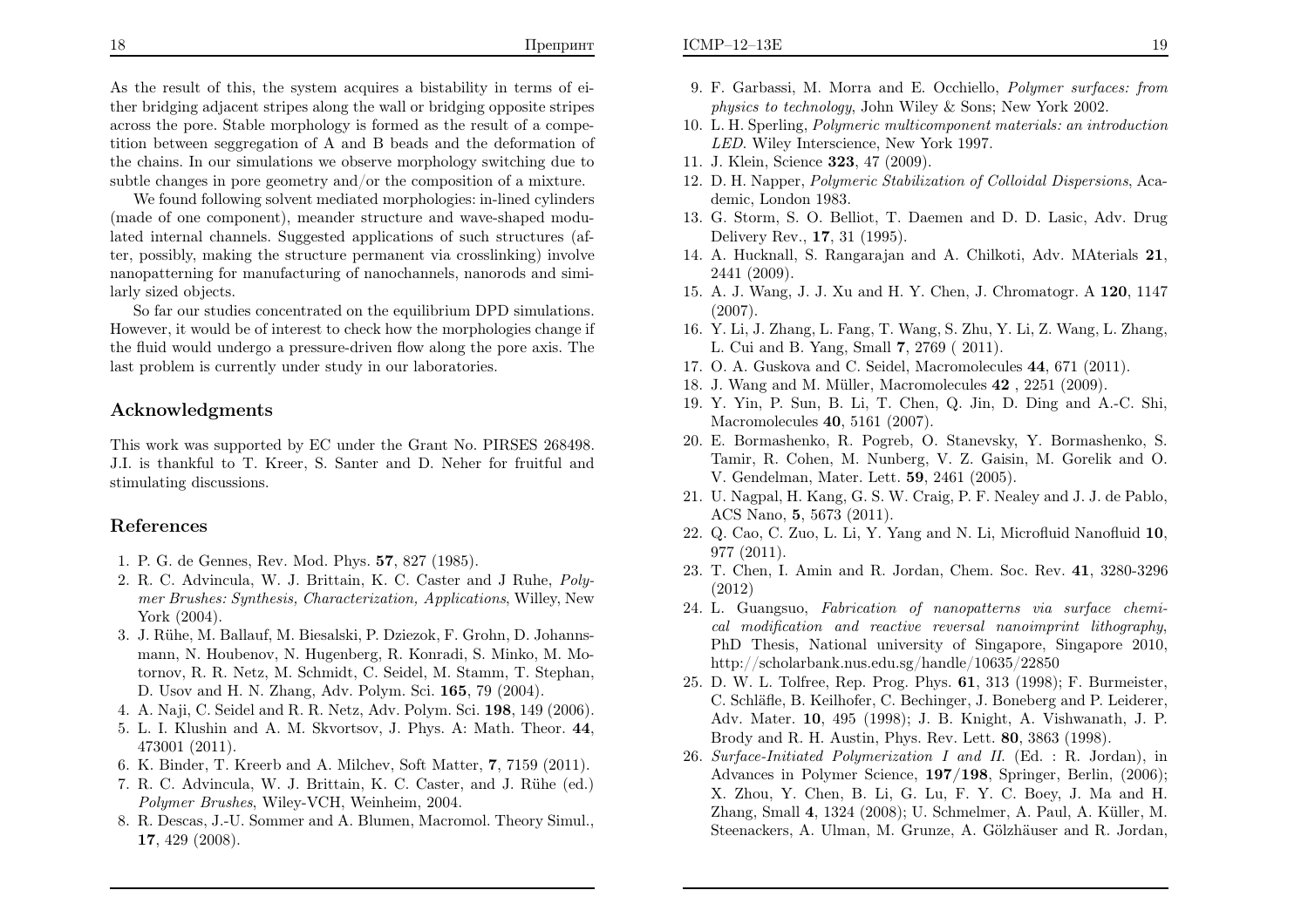As the result of this, the system acquires <sup>a</sup> bistability in terms of either bridging adjacent stripes along the wall or bridging opposite stripes across the pore. Stable morphology is formed as the result of <sup>a</sup> competition between seggregation of <sup>A</sup> and <sup>B</sup> beads and the deformation of the chains. In our simulations we observe morphology switching due tosubtle changes in pore geometry and/or the composition of <sup>a</sup> mixture.

We found following solvent mediated morphologies: in-lined cylinders (made of one component), meander structure and wave-shaped modulated internal channels. Suggested applications of such structures (after, possibly, making the structure permanent via crosslinking) involve nanopatterning for manufacturing of nanochannels, nanorods and similarly sized objects.

So far our studies concentrated on the equilibrium DPD simulations. However, it would be of interest to check how the morphologies change if the fluid would undergo <sup>a</sup> pressure-driven flow along the pore axis. Thelast problem is currently under study in our laboratories.

### Acknowledgments

This work was supported by EC under the Grant No. PIRSES 268498. J.I. is thankful to T. Kreer, S. Santer and D. Neher for fruitful andstimulating discussions.

# References

- 1. P. G. de Gennes, Rev. Mod. Phys. <sup>57</sup>, <sup>827</sup> (1985).
- 2. R. C. Advincula, W. J. Brittain, K. C. Caster and <sup>J</sup> Ruhe, Polymer Brushes: Synthesis, Characterization, Applications, Willey, NewYork (2004).
- 3. J. R¨uhe, M. Ballauf, M. Biesalski, P. Dziezok, F. Grohn, D. Johannsmann, N. Houbenov, N. Hugenberg, R. Konradi, S. Minko, M. Motornov, R. R. Netz, M. Schmidt, C. Seidel, M. Stamm, T. Stephan, D. Usov and H. N. Zhang, Adv. Polym. Sci. <sup>165</sup>, <sup>79</sup> (2004).
- 4. A. Naji, C. Seidel and R. R. Netz, Adv. Polym. Sci. <sup>198</sup>, <sup>149</sup> (2006).
- 5. L. I. Klushin and A. M. Skvortsov, J. Phys. A: Math. Theor. <sup>44</sup>, <sup>473001</sup> (2011).
- 6. K. Binder, T. Kreerb and A. Milchev, Soft Matter, <sup>7</sup>, <sup>7159</sup> (2011).
- 7. R. C. Advincula, W. J. Brittain, K. C. Caster, and J. Rühe (ed.) Polymer Brushes, Wiley-VCH, Weinheim, 2004.
- 8. R. Descas, J.-U. Sommer and A. Blumen, Macromol. Theory Simul., <sup>17</sup>, <sup>429</sup> (2008).
- 9. F. Garbassi, M. Morra and E. Occhiello, Polymer surfaces: fromphysics to technology, John Wiley & Sons; New York 2002.
- 10. L. H. Sperling, Polymeric multicomponent materials: an introductionLED. Wiley Interscience, New York 1997.
- 11. J. Klein, Science <sup>323</sup>, <sup>47</sup> (2009).
- <span id="page-10-9"></span><span id="page-10-8"></span><span id="page-10-7"></span><span id="page-10-6"></span><span id="page-10-2"></span><span id="page-10-1"></span>12. D. H. Napper, Polymeric Stabilization of Colloidal Dispersions, Academic, London 1983.
- <span id="page-10-5"></span><span id="page-10-4"></span><span id="page-10-3"></span><span id="page-10-0"></span>13. G. Storm, S. O. Belliot, T. Daemen and D. D. Lasic, Adv. DrugDelivery Rev., <sup>17</sup>, <sup>31</sup> (1995).
- 14. A. Hucknall, S. Rangarajan and A. Chilkoti, Adv. MAterials <sup>21</sup>, 2441 (2009).
- 15. A. J. Wang, J. J. Xu and H. Y. Chen, J. Chromatogr. A 120, 1147 (2007).
- 16. Y. Li, J. Zhang, L. Fang, T. Wang, S. Zhu, Y. Li, Z. Wang, L. Zhang, L. Cui and B. Yang, Small <sup>7</sup>, <sup>2769</sup> ( 2011).
- 17. O. A. Guskova and C. Seidel, Macromolecules <sup>44</sup>, <sup>671</sup> (2011).
- 18. J. Wang and M. Müller, Macromolecules  $42$ ,  $2251$  (2009).
- 19. Y. Yin, P. Sun, B. Li, T. Chen, Q. Jin, D. Ding and A.-C. Shi, Macromolecules <sup>40</sup>, <sup>5161</sup> (2007).
- 20. E. Bormashenko, R. Pogreb, O. Stanevsky, Y. Bormashenko, S. Tamir, R. Cohen, M. Nunberg, V. Z. Gaisin, M. Gorelik and O. V. Gendelman, Mater. Lett. <sup>59</sup>, <sup>2461</sup> (2005).
- 21. U. Nagpal, H. Kang, G. S. W. Craig, P. F. Nealey and J. J. de Pablo, ACS Nano, <sup>5</sup>, <sup>5673</sup> (2011).
- 22. Q. Cao, C. Zuo, L. Li, Y. Yang and N. Li, Microfluid Nanofluid <sup>10</sup>, <sup>977</sup> (2011).
- 23. T. Chen, I. Amin and R. Jordan, Chem. Soc. Rev. <sup>41</sup>, 3280-3296(2012)
- 24. L. Guangsuo, Fabrication of nanopatterns via surface chemical modification and reactive reversal nanoimprint lithography, PhD Thesis, National university of Singapore, Singapore 2010, http://scholarbank.nus.edu.sg/handle/10635/22850
- 25. D. W. L. Tolfree, Rep. Prog. Phys. <sup>61</sup>, <sup>313</sup> (1998); F. Burmeister, C. Schläfle, B. Keilhofer, C. Bechinger, J. Boneberg and P. Leiderer, Adv. Mater. <sup>10</sup>, <sup>495</sup> (1998); J. B. Knight, A. Vishwanath, J. P. Brody and R. H. Austin, Phys. Rev. Lett. <sup>80</sup>, <sup>3863</sup> (1998).
- 26. Surface-Initiated Polymerization <sup>I</sup> and II. (Ed. : R. Jordan), inAdvances in Polymer Science, **197/198**, Springer, Berlin, (2006); X. Zhou, Y. Chen, B. Li, G. Lu, F. Y. C. Boey, J. Ma and H. Zhang, Small 4, 1324 (2008); U. Schmelmer, A. Paul, A. Küller, M. Steenackers, A. Ulman, M. Grunze, A. Gölzhäuser and R. Jordan,